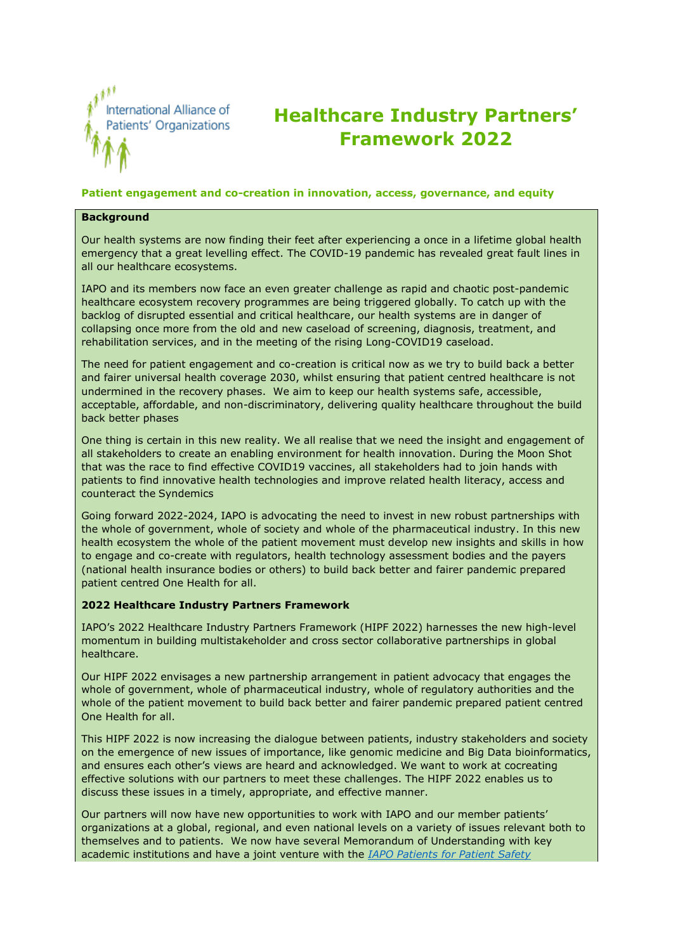

# **Healthcare Industry Partners' Framework 2022**

### **Patient engagement and co-creation in innovation, access, governance, and equity**

#### **Background**

Our health systems are now finding their feet after experiencing a once in a lifetime global health emergency that a great levelling effect. The COVID-19 pandemic has revealed great fault lines in all our healthcare ecosystems.

IAPO and its members now face an even greater challenge as rapid and chaotic post-pandemic healthcare ecosystem recovery programmes are being triggered globally. To catch up with the backlog of disrupted essential and critical healthcare, our health systems are in danger of collapsing once more from the old and new caseload of screening, diagnosis, treatment, and rehabilitation services, and in the meeting of the rising Long-COVID19 caseload.

The need for patient engagement and co-creation is critical now as we try to build back a better and fairer universal health coverage 2030, whilst ensuring that patient centred healthcare is not undermined in the recovery phases. We aim to keep our health systems safe, accessible, acceptable, affordable, and non-discriminatory, delivering quality healthcare throughout the build back better phases

One thing is certain in this new reality. We all realise that we need the insight and engagement of all stakeholders to create an enabling environment for health innovation. During the Moon Shot that was the race to find effective COVID19 vaccines, all stakeholders had to join hands with patients to find innovative health technologies and improve related health literacy, access and counteract the Syndemics

Going forward 2022-2024, IAPO is advocating the need to invest in new robust partnerships with the whole of government, whole of society and whole of the pharmaceutical industry. In this new health ecosystem the whole of the patient movement must develop new insights and skills in how to engage and co-create with regulators, health technology assessment bodies and the payers (national health insurance bodies or others) to build back better and fairer pandemic prepared patient centred One Health for all.

#### **2022 Healthcare Industry Partners Framework**

IAPO's 2022 Healthcare Industry Partners Framework (HIPF 2022) harnesses the new high-level momentum in building multistakeholder and cross sector collaborative partnerships in global healthcare.

Our HIPF 2022 envisages a new partnership arrangement in patient advocacy that engages the whole of government, whole of pharmaceutical industry, whole of regulatory authorities and the whole of the patient movement to build back better and fairer pandemic prepared patient centred One Health for all.

This HIPF 2022 is now increasing the dialogue between patients, industry stakeholders and society on the emergence of new issues of importance, like genomic medicine and Big Data bioinformatics, and ensures each other's views are heard and acknowledged. We want to work at cocreating effective solutions with our partners to meet these challenges. The HIPF 2022 enables us to discuss these issues in a timely, appropriate, and effective manner.

Our partners will now have new opportunities to work with IAPO and our member patients' organizations at a global, regional, and even national levels on a variety of issues relevant both to themselves and to patients. We now have several Memorandum of Understanding with key academic institutions and have a joint venture with the *[IAPO Patients for](https://www.p4psobservatory.org/) Patient Safety*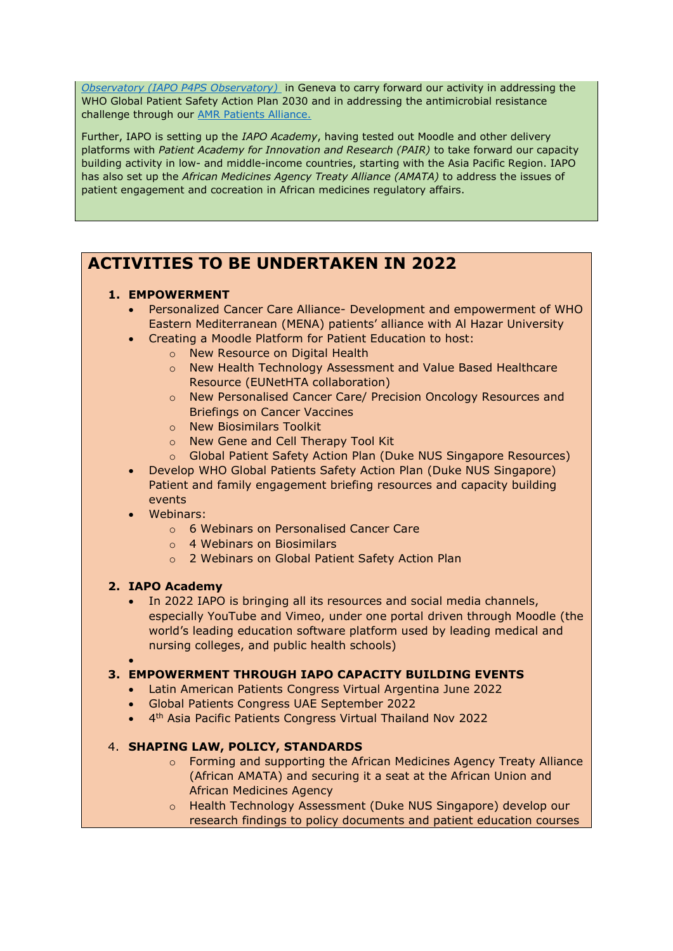*Observatory (IAPO P4PS [Observatory\)](https://www.p4psobservatory.org/)* in Geneva to carry forward our activity in addressing the WHO Global Patient Safety Action Plan 2030 and in addressing the antimicrobial resistance challenge through our [AMR Patients Alliance.](https://iapo-p4psobservatory.org/amr/)

Further, IAPO is setting up the *IAPO Academy*, having tested out Moodle and other delivery platforms with *Patient Academy for Innovation and Research (PAIR)* to take forward our capacity building activity in low- and middle-income countries, starting with the Asia Pacific Region. IAPO has also set up the *African Medicines Agency Treaty Alliance (AMATA)* to address the issues of patient engagement and cocreation in African medicines regulatory affairs.

# **ACTIVITIES TO BE UNDERTAKEN IN 2022**

# **1. EMPOWERMENT**

- Personalized Cancer Care Alliance- Development and empowerment of WHO Eastern Mediterranean (MENA) patients' alliance with Al Hazar University
- Creating a Moodle Platform for Patient Education to host:
	- o New Resource on Digital Health
	- o New Health Technology Assessment and Value Based Healthcare Resource (EUNetHTA collaboration)
	- o New Personalised Cancer Care/ Precision Oncology Resources and Briefings on Cancer Vaccines
	- o New Biosimilars Toolkit
	- o New Gene and Cell Therapy Tool Kit
	- o Global Patient Safety Action Plan (Duke NUS Singapore Resources)
- Develop WHO Global Patients Safety Action Plan (Duke NUS Singapore) Patient and family engagement briefing resources and capacity building events
- Webinars:
	- o 6 Webinars on Personalised Cancer Care
	- o 4 Webinars on Biosimilars
	- o 2 Webinars on Global Patient Safety Action Plan

# **2. IAPO Academy**

• In 2022 IAPO is bringing all its resources and social media channels, especially YouTube and Vimeo, under one portal driven through Moodle (the world's leading education software platform used by leading medical and nursing colleges, and public health schools)

# •

# **3. EMPOWERMENT THROUGH IAPO CAPACITY BUILDING EVENTS**

- Latin American Patients Congress Virtual Argentina June 2022
- Global Patients Congress UAE September 2022
- 4 th Asia Pacific Patients Congress Virtual Thailand Nov 2022

# 4. **SHAPING LAW, POLICY, STANDARDS**

- o Forming and supporting the African Medicines Agency Treaty Alliance (African AMATA) and securing it a seat at the African Union and African Medicines Agency
- o Health Technology Assessment (Duke NUS Singapore) develop our research findings to policy documents and patient education courses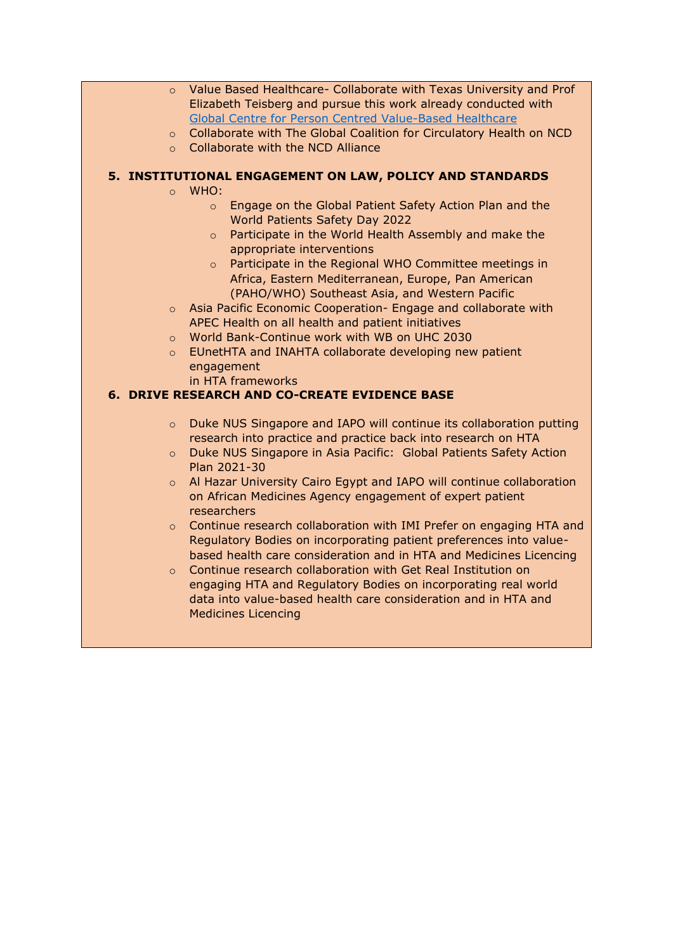- o Value Based Healthcare- Collaborate with Texas University and Prof Elizabeth Teisberg and pursue this work already conducted with [Global Centre for Person Centred Value-Based Healthcare](https://www.sprink.co.uk/global-centre-for-pcvbhc/)
- o Collaborate with The Global Coalition for Circulatory Health on NCD
- o Collaborate with the NCD Alliance

# **5. INSTITUTIONAL ENGAGEMENT ON LAW, POLICY AND STANDARDS**

- o WHO:
	- o Engage on the Global Patient Safety Action Plan and the World Patients Safety Day 2022
	- o Participate in the World Health Assembly and make the appropriate interventions
	- o Participate in the Regional WHO Committee meetings in Africa, Eastern Mediterranean, Europe, Pan American (PAHO/WHO) Southeast Asia, and Western Pacific
- o Asia Pacific Economic Cooperation- Engage and collaborate with APEC Health on all health and patient initiatives
- o World Bank-Continue work with WB on UHC 2030
- o EUnetHTA and INAHTA collaborate developing new patient engagement
	- in HTA frameworks

# **6. DRIVE RESEARCH AND CO-CREATE EVIDENCE BASE**

- o Duke NUS Singapore and IAPO will continue its collaboration putting research into practice and practice back into research on HTA
- o Duke NUS Singapore in Asia Pacific: Global Patients Safety Action Plan 2021-30
- $\circ$  Al Hazar University Cairo Egypt and IAPO will continue collaboration on African Medicines Agency engagement of expert patient researchers
- $\circ$  Continue research collaboration with IMI Prefer on engaging HTA and Regulatory Bodies on incorporating patient preferences into valuebased health care consideration and in HTA and Medicines Licencing
- o Continue research collaboration with Get Real Institution on engaging HTA and Regulatory Bodies on incorporating real world data into value-based health care consideration and in HTA and Medicines Licencing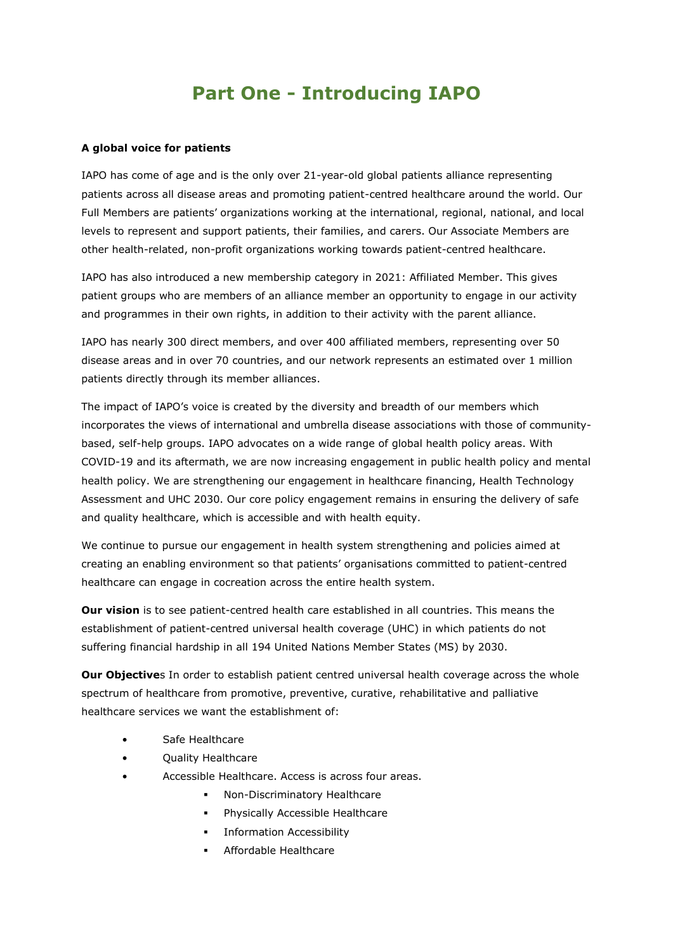# **Part One - Introducing IAPO**

#### **A global voice for patients**

IAPO has come of age and is the only over 21-year-old global patients alliance representing patients across all disease areas and promoting patient-centred healthcare around the world. Our Full Members are patients' organizations working at the international, regional, national, and local levels to represent and support patients, their families, and carers. Our Associate Members are other health-related, non-profit organizations working towards patient-centred healthcare.

IAPO has also introduced a new membership category in 2021: Affiliated Member. This gives patient groups who are members of an alliance member an opportunity to engage in our activity and programmes in their own rights, in addition to their activity with the parent alliance.

IAPO has nearly 300 direct members, and over 400 affiliated members, representing over 50 disease areas and in over 70 countries, and our network represents an estimated over 1 million patients directly through its member alliances.

The impact of IAPO's voice is created by the diversity and breadth of our members which incorporates the views of international and umbrella disease associations with those of communitybased, self-help groups. IAPO advocates on a wide range of global health policy areas. With COVID-19 and its aftermath, we are now increasing engagement in public health policy and mental health policy. We are strengthening our engagement in healthcare financing, Health Technology Assessment and UHC 2030. Our core policy engagement remains in ensuring the delivery of safe and quality healthcare, which is accessible and with health equity.

We continue to pursue our engagement in health system strengthening and policies aimed at creating an enabling environment so that patients' organisations committed to patient-centred healthcare can engage in cocreation across the entire health system.

**Our vision** is to see patient-centred health care established in all countries. This means the establishment of patient-centred universal health coverage (UHC) in which patients do not suffering financial hardship in all 194 United Nations Member States (MS) by 2030.

**Our Objective**s In order to establish patient centred universal health coverage across the whole spectrum of healthcare from promotive, preventive, curative, rehabilitative and palliative healthcare services we want the establishment of:

- Safe Healthcare
- Quality Healthcare
- Accessible Healthcare. Access is across four areas.
	- Non-Discriminatory Healthcare
	- Physically Accessible Healthcare
	- **·** Information Accessibility
	- Affordable Healthcare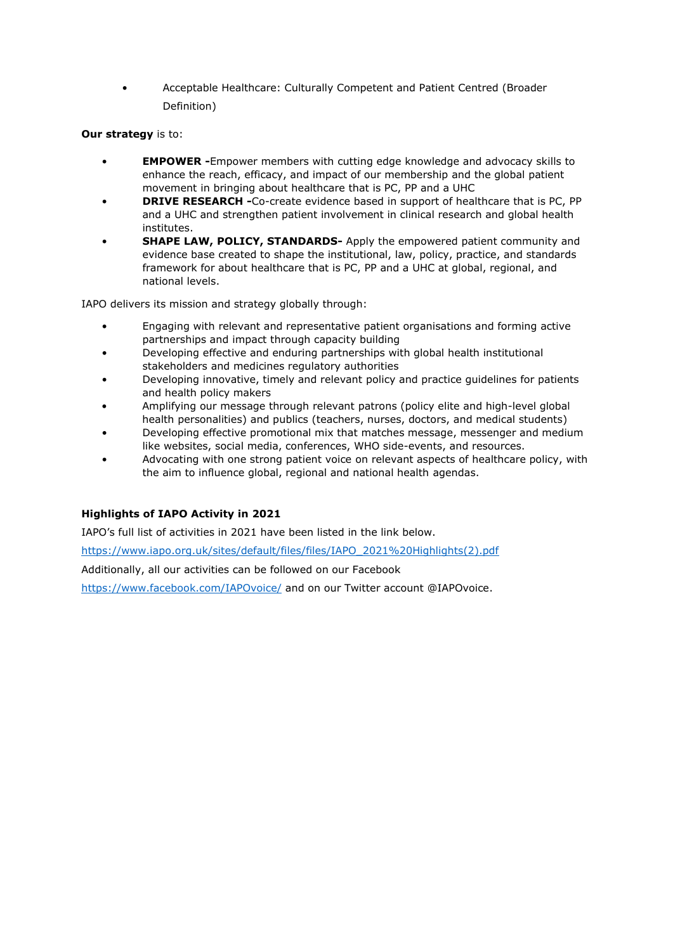• Acceptable Healthcare: Culturally Competent and Patient Centred (Broader Definition)

## **Our strategy** is to:

- **EMPOWER -**Empower members with cutting edge knowledge and advocacy skills to enhance the reach, efficacy, and impact of our membership and the global patient movement in bringing about healthcare that is PC, PP and a UHC
- **DRIVE RESEARCH -**Co-create evidence based in support of healthcare that is PC, PP and a UHC and strengthen patient involvement in clinical research and global health institutes.
- **SHAPE LAW, POLICY, STANDARDS-** Apply the empowered patient community and evidence base created to shape the institutional, law, policy, practice, and standards framework for about healthcare that is PC, PP and a UHC at global, regional, and national levels.

IAPO delivers its mission and strategy globally through:

- Engaging with relevant and representative patient organisations and forming active partnerships and impact through capacity building
- Developing effective and enduring partnerships with global health institutional stakeholders and medicines regulatory authorities
- Developing innovative, timely and relevant policy and practice guidelines for patients and health policy makers
- Amplifying our message through relevant patrons (policy elite and high-level global health personalities) and publics (teachers, nurses, doctors, and medical students)
- Developing effective promotional mix that matches message, messenger and medium like websites, social media, conferences, WHO side-events, and resources.
- Advocating with one strong patient voice on relevant aspects of healthcare policy, with the aim to influence global, regional and national health agendas.

## **Highlights of IAPO Activity in 2021**

IAPO's full list of activities in 2021 have been listed in the link below.

[https://www.iapo.org.uk/sites/default/files/files/IAPO\\_2021%20Highlights\(2\).pdf](https://www.iapo.org.uk/sites/default/files/files/IAPO_2021%20Highlights(2).pdf)

Additionally, all our activities can be followed on our Facebook

<https://www.facebook.com/IAPOvoice/> and on our Twitter account @IAPOvoice.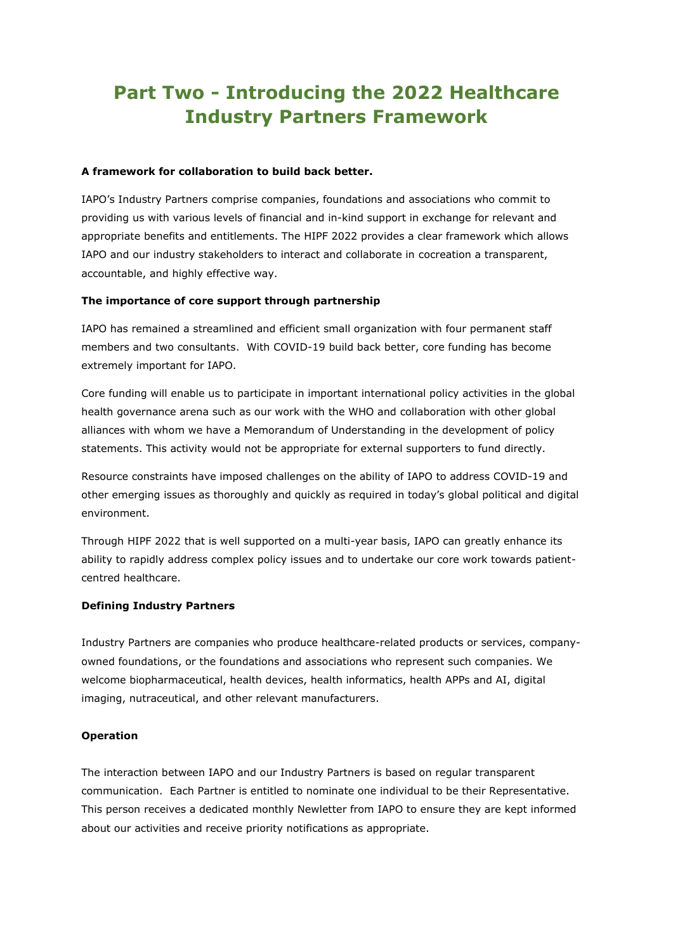# **Part Two - Introducing the 2022 Healthcare Industry Partners Framework**

#### **A framework for collaboration to build back better.**

IAPO's Industry Partners comprise companies, foundations and associations who commit to providing us with various levels of financial and in-kind support in exchange for relevant and appropriate benefits and entitlements. The HIPF 2022 provides a clear framework which allows IAPO and our industry stakeholders to interact and collaborate in cocreation a transparent, accountable, and highly effective way.

### **The importance of core support through partnership**

IAPO has remained a streamlined and efficient small organization with four permanent staff members and two consultants. With COVID-19 build back better, core funding has become extremely important for IAPO.

Core funding will enable us to participate in important international policy activities in the global health governance arena such as our work with the WHO and collaboration with other global alliances with whom we have a Memorandum of Understanding in the development of policy statements. This activity would not be appropriate for external supporters to fund directly.

Resource constraints have imposed challenges on the ability of IAPO to address COVID-19 and other emerging issues as thoroughly and quickly as required in today's global political and digital environment.

Through HIPF 2022 that is well supported on a multi-year basis, IAPO can greatly enhance its ability to rapidly address complex policy issues and to undertake our core work towards patientcentred healthcare.

### **Defining Industry Partners**

Industry Partners are companies who produce healthcare-related products or services, companyowned foundations, or the foundations and associations who represent such companies. We welcome biopharmaceutical, health devices, health informatics, health APPs and AI, digital imaging, nutraceutical, and other relevant manufacturers.

#### **Operation**

The interaction between IAPO and our Industry Partners is based on regular transparent communication. Each Partner is entitled to nominate one individual to be their Representative. This person receives a dedicated monthly Newletter from IAPO to ensure they are kept informed about our activities and receive priority notifications as appropriate.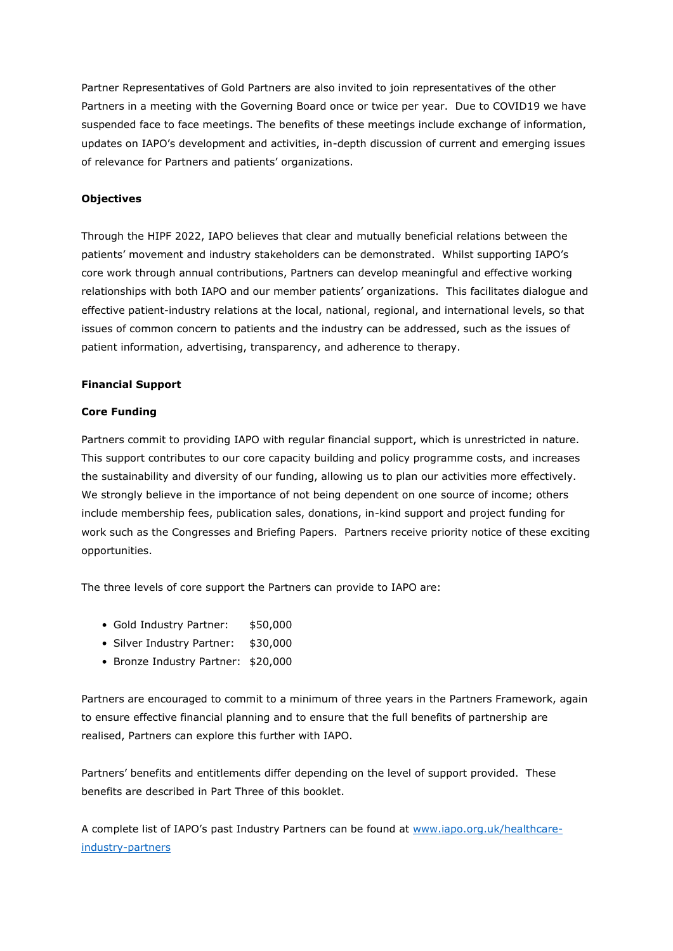Partner Representatives of Gold Partners are also invited to join representatives of the other Partners in a meeting with the Governing Board once or twice per year. Due to COVID19 we have suspended face to face meetings. The benefits of these meetings include exchange of information, updates on IAPO's development and activities, in-depth discussion of current and emerging issues of relevance for Partners and patients' organizations.

## **Objectives**

Through the HIPF 2022, IAPO believes that clear and mutually beneficial relations between the patients' movement and industry stakeholders can be demonstrated. Whilst supporting IAPO's core work through annual contributions, Partners can develop meaningful and effective working relationships with both IAPO and our member patients' organizations. This facilitates dialogue and effective patient-industry relations at the local, national, regional, and international levels, so that issues of common concern to patients and the industry can be addressed, such as the issues of patient information, advertising, transparency, and adherence to therapy.

#### **Financial Support**

#### **Core Funding**

Partners commit to providing IAPO with regular financial support, which is unrestricted in nature. This support contributes to our core capacity building and policy programme costs, and increases the sustainability and diversity of our funding, allowing us to plan our activities more effectively. We strongly believe in the importance of not being dependent on one source of income; others include membership fees, publication sales, donations, in-kind support and project funding for work such as the Congresses and Briefing Papers. Partners receive priority notice of these exciting opportunities.

The three levels of core support the Partners can provide to IAPO are:

- Gold Industry Partner: \$50,000
- Silver Industry Partner: \$30,000
- Bronze Industry Partner: \$20,000

Partners are encouraged to commit to a minimum of three years in the Partners Framework, again to ensure effective financial planning and to ensure that the full benefits of partnership are realised, Partners can explore this further with IAPO.

Partners' benefits and entitlements differ depending on the level of support provided. These benefits are described in Part Three of this booklet.

A complete list of IAPO's past Industry Partners can be found at [www.iapo.org.uk/healthcare](https://iapo.org.uk/healthcare-industry-partners)[industry-partners](https://iapo.org.uk/healthcare-industry-partners)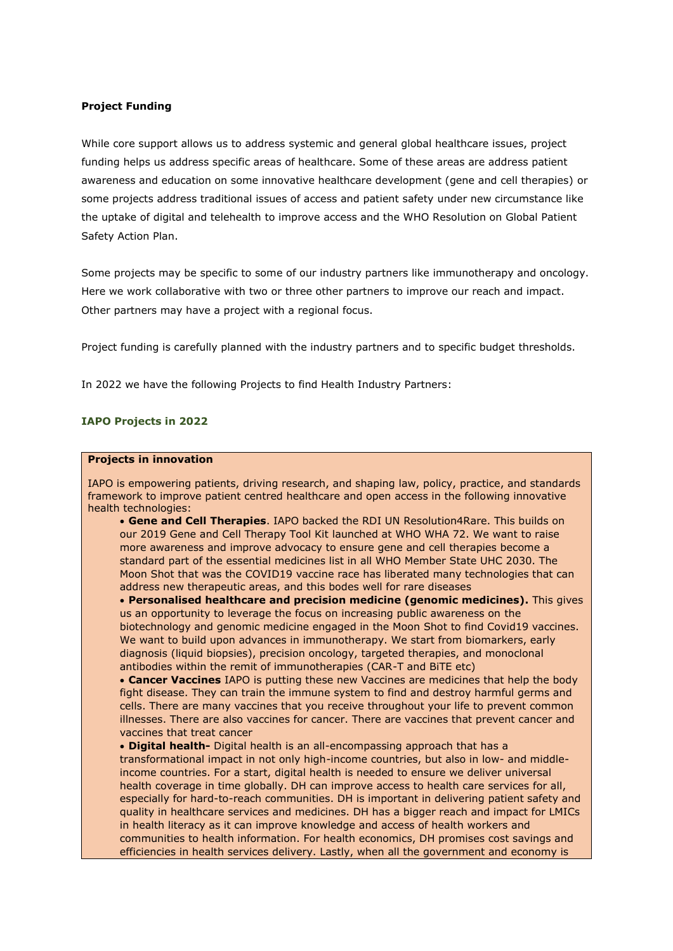#### **Project Funding**

While core support allows us to address systemic and general global healthcare issues, project funding helps us address specific areas of healthcare. Some of these areas are address patient awareness and education on some innovative healthcare development (gene and cell therapies) or some projects address traditional issues of access and patient safety under new circumstance like the uptake of digital and telehealth to improve access and the WHO Resolution on Global Patient Safety Action Plan.

Some projects may be specific to some of our industry partners like immunotherapy and oncology. Here we work collaborative with two or three other partners to improve our reach and impact. Other partners may have a project with a regional focus.

Project funding is carefully planned with the industry partners and to specific budget thresholds.

In 2022 we have the following Projects to find Health Industry Partners:

#### **IAPO Projects in 2022**

#### **Projects in innovation**

IAPO is empowering patients, driving research, and shaping law, policy, practice, and standards framework to improve patient centred healthcare and open access in the following innovative health technologies:

• **Gene and Cell Therapies**. IAPO backed the RDI UN Resolution4Rare. This builds on our 2019 Gene and Cell Therapy Tool Kit launched at WHO WHA 72. We want to raise more awareness and improve advocacy to ensure gene and cell therapies become a standard part of the essential medicines list in all WHO Member State UHC 2030. The Moon Shot that was the COVID19 vaccine race has liberated many technologies that can address new therapeutic areas, and this bodes well for rare diseases

• **Personalised healthcare and precision medicine (genomic medicines).** This gives us an opportunity to leverage the focus on increasing public awareness on the biotechnology and genomic medicine engaged in the Moon Shot to find Covid19 vaccines. We want to build upon advances in immunotherapy. We start from biomarkers, early diagnosis (liquid biopsies), precision oncology, targeted therapies, and monoclonal antibodies within the remit of immunotherapies (CAR-T and BiTE etc)

• **Cancer Vaccines** IAPO is putting these new Vaccines are medicines that help the body fight disease. They can train the immune system to find and destroy harmful germs and cells. There are many vaccines that you receive throughout your life to prevent common illnesses. There are also vaccines for cancer. There are vaccines that prevent cancer and vaccines that treat cancer

• **Digital health-** Digital health is an all-encompassing approach that has a transformational impact in not only high-income countries, but also in low- and middleincome countries. For a start, digital health is needed to ensure we deliver universal health coverage in time globally. DH can improve access to health care services for all, especially for hard-to-reach communities. DH is important in delivering patient safety and quality in healthcare services and medicines. DH has a bigger reach and impact for LMICs in health literacy as it can improve knowledge and access of health workers and communities to health information. For health economics, DH promises cost savings and efficiencies in health services delivery. Lastly, when all the government and economy is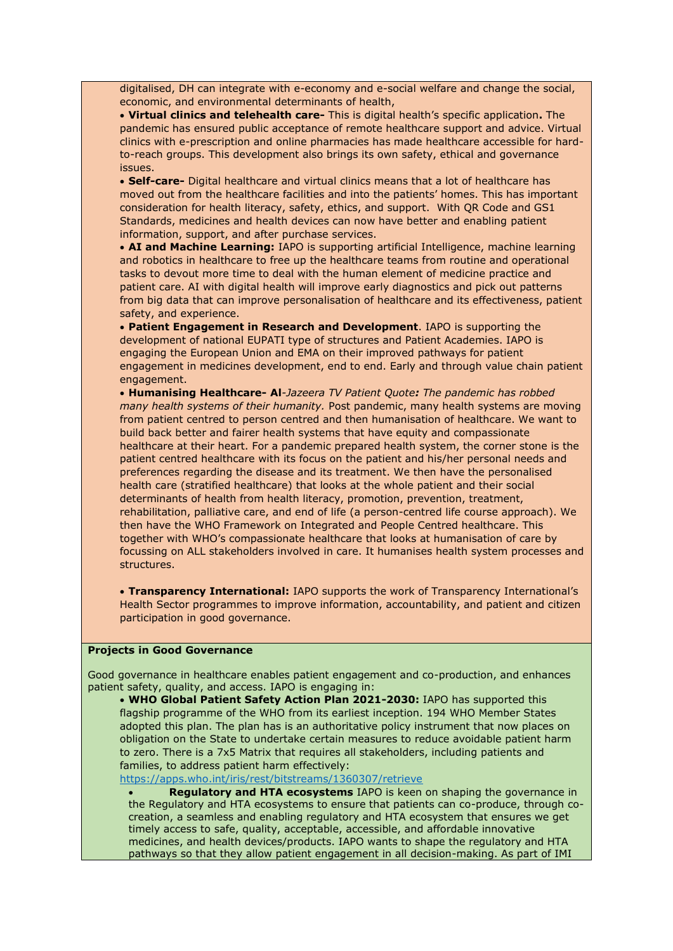digitalised, DH can integrate with e-economy and e-social welfare and change the social, economic, and environmental determinants of health,

• **Virtual clinics and telehealth care-** This is digital health's specific application**.** The pandemic has ensured public acceptance of remote healthcare support and advice. Virtual clinics with e-prescription and online pharmacies has made healthcare accessible for hardto-reach groups. This development also brings its own safety, ethical and governance issues.

• **Self-care-** Digital healthcare and virtual clinics means that a lot of healthcare has moved out from the healthcare facilities and into the patients' homes. This has important consideration for health literacy, safety, ethics, and support. With QR Code and GS1 Standards, medicines and health devices can now have better and enabling patient information, support, and after purchase services.

• **AI and Machine Learning:** IAPO is supporting artificial Intelligence, machine learning and robotics in healthcare to free up the healthcare teams from routine and operational tasks to devout more time to deal with the human element of medicine practice and patient care. AI with digital health will improve early diagnostics and pick out patterns from big data that can improve personalisation of healthcare and its effectiveness, patient safety, and experience.

• **Patient Engagement in Research and Development**. IAPO is supporting the development of national EUPATI type of structures and Patient Academies. IAPO is engaging the European Union and EMA on their improved pathways for patient engagement in medicines development, end to end. Early and through value chain patient engagement.

• **Humanising Healthcare- Al***-Jazeera TV Patient Quote: The pandemic has robbed many health systems of their humanity.* Post pandemic, many health systems are moving from patient centred to person centred and then humanisation of healthcare. We want to build back better and fairer health systems that have equity and compassionate healthcare at their heart. For a pandemic prepared health system, the corner stone is the patient centred healthcare with its focus on the patient and his/her personal needs and preferences regarding the disease and its treatment. We then have the personalised health care (stratified healthcare) that looks at the whole patient and their social determinants of health from health literacy, promotion, prevention, treatment, rehabilitation, palliative care, and end of life (a person-centred life course approach). We then have the WHO Framework on Integrated and People Centred healthcare. This together with WHO's compassionate healthcare that looks at humanisation of care by focussing on ALL stakeholders involved in care. It humanises health system processes and structures.

• **Transparency International:** IAPO supports the work of Transparency International's Health Sector programmes to improve information, accountability, and patient and citizen participation in good governance.

#### **Projects in Good Governance**

Good governance in healthcare enables patient engagement and co-production, and enhances patient safety, quality, and access. IAPO is engaging in:

• **WHO Global Patient Safety Action Plan 2021-2030:** IAPO has supported this flagship programme of the WHO from its earliest inception. 194 WHO Member States adopted this plan. The plan has is an authoritative policy instrument that now places on obligation on the State to undertake certain measures to reduce avoidable patient harm to zero. There is a 7x5 Matrix that requires all stakeholders, including patients and families, to address patient harm effectively:

<https://apps.who.int/iris/rest/bitstreams/1360307/retrieve>

• **Regulatory and HTA ecosystems** IAPO is keen on shaping the governance in the Regulatory and HTA ecosystems to ensure that patients can co-produce, through cocreation, a seamless and enabling regulatory and HTA ecosystem that ensures we get timely access to safe, quality, acceptable, accessible, and affordable innovative medicines, and health devices/products. IAPO wants to shape the regulatory and HTA pathways so that they allow patient engagement in all decision-making. As part of IMI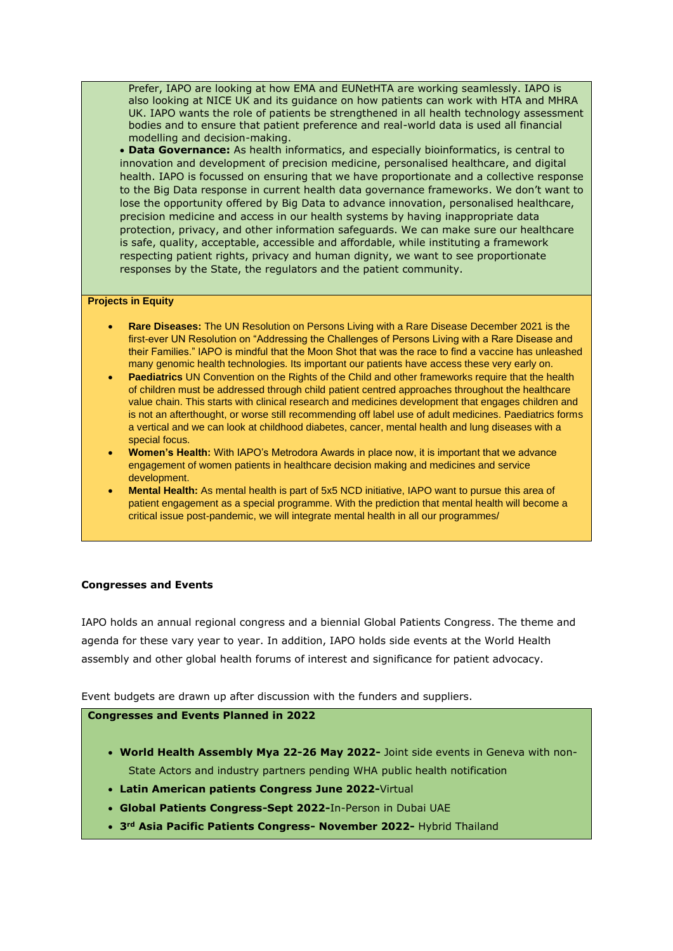Prefer, IAPO are looking at how EMA and EUNetHTA are working seamlessly. IAPO is also looking at NICE UK and its guidance on how patients can work with HTA and MHRA UK. IAPO wants the role of patients be strengthened in all health technology assessment bodies and to ensure that patient preference and real-world data is used all financial modelling and decision-making.

• **Data Governance:** As health informatics, and especially bioinformatics, is central to innovation and development of precision medicine, personalised healthcare, and digital health. IAPO is focussed on ensuring that we have proportionate and a collective response to the Big Data response in current health data governance frameworks. We don't want to lose the opportunity offered by Big Data to advance innovation, personalised healthcare, precision medicine and access in our health systems by having inappropriate data protection, privacy, and other information safeguards. We can make sure our healthcare is safe, quality, acceptable, accessible and affordable, while instituting a framework respecting patient rights, privacy and human dignity, we want to see proportionate responses by the State, the regulators and the patient community.

#### **Projects in Equity**

- **Rare Diseases:** The UN Resolution on Persons Living with a Rare Disease December 2021 is the first-ever UN Resolution on "Addressing the Challenges of Persons Living with a Rare Disease and their Families." IAPO is mindful that the Moon Shot that was the race to find a vaccine has unleashed many genomic health technologies. Its important our patients have access these very early on.
- **Paediatrics** UN Convention on the Rights of the Child and other frameworks require that the health of children must be addressed through child patient centred approaches throughout the healthcare value chain. This starts with clinical research and medicines development that engages children and is not an afterthought, or worse still recommending off label use of adult medicines. Paediatrics forms a vertical and we can look at childhood diabetes, cancer, mental health and lung diseases with a special focus.
- **Women's Health:** With IAPO's Metrodora Awards in place now, it is important that we advance engagement of women patients in healthcare decision making and medicines and service development.
- **Mental Health:** As mental health is part of 5x5 NCD initiative, IAPO want to pursue this area of patient engagement as a special programme. With the prediction that mental health will become a critical issue post-pandemic, we will integrate mental health in all our programmes/

#### **Congresses and Events**

IAPO holds an annual regional congress and a biennial Global Patients Congress. The theme and agenda for these vary year to year. In addition, IAPO holds side events at the World Health assembly and other global health forums of interest and significance for patient advocacy.

Event budgets are drawn up after discussion with the funders and suppliers.

#### **Congresses and Events Planned in 2022**

- **World Health Assembly Mya 22-26 May 2022-** Joint side events in Geneva with non-State Actors and industry partners pending WHA public health notification
- **Latin American patients Congress June 2022-**Virtual
- **Global Patients Congress-Sept 2022-**In-Person in Dubai UAE
- **3rd Asia Pacific Patients Congress- November 2022-** Hybrid Thailand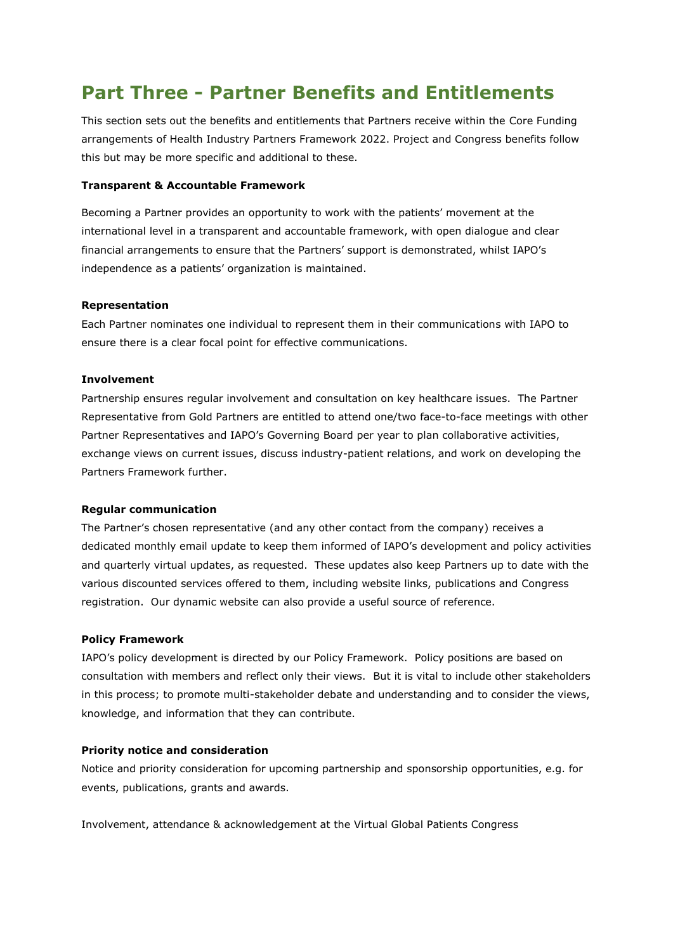# **Part Three - Partner Benefits and Entitlements**

This section sets out the benefits and entitlements that Partners receive within the Core Funding arrangements of Health Industry Partners Framework 2022. Project and Congress benefits follow this but may be more specific and additional to these.

#### **Transparent & Accountable Framework**

Becoming a Partner provides an opportunity to work with the patients' movement at the international level in a transparent and accountable framework, with open dialogue and clear financial arrangements to ensure that the Partners' support is demonstrated, whilst IAPO's independence as a patients' organization is maintained.

### **Representation**

Each Partner nominates one individual to represent them in their communications with IAPO to ensure there is a clear focal point for effective communications.

### **Involvement**

Partnership ensures regular involvement and consultation on key healthcare issues. The Partner Representative from Gold Partners are entitled to attend one/two face-to-face meetings with other Partner Representatives and IAPO's Governing Board per year to plan collaborative activities, exchange views on current issues, discuss industry-patient relations, and work on developing the Partners Framework further.

#### **Regular communication**

The Partner's chosen representative (and any other contact from the company) receives a dedicated monthly email update to keep them informed of IAPO's development and policy activities and quarterly virtual updates, as requested. These updates also keep Partners up to date with the various discounted services offered to them, including website links, publications and Congress registration. Our dynamic website can also provide a useful source of reference.

## **Policy Framework**

IAPO's policy development is directed by our Policy Framework. Policy positions are based on consultation with members and reflect only their views. But it is vital to include other stakeholders in this process; to promote multi-stakeholder debate and understanding and to consider the views, knowledge, and information that they can contribute.

## **Priority notice and consideration**

Notice and priority consideration for upcoming partnership and sponsorship opportunities, e.g. for events, publications, grants and awards.

Involvement, attendance & acknowledgement at the Virtual Global Patients Congress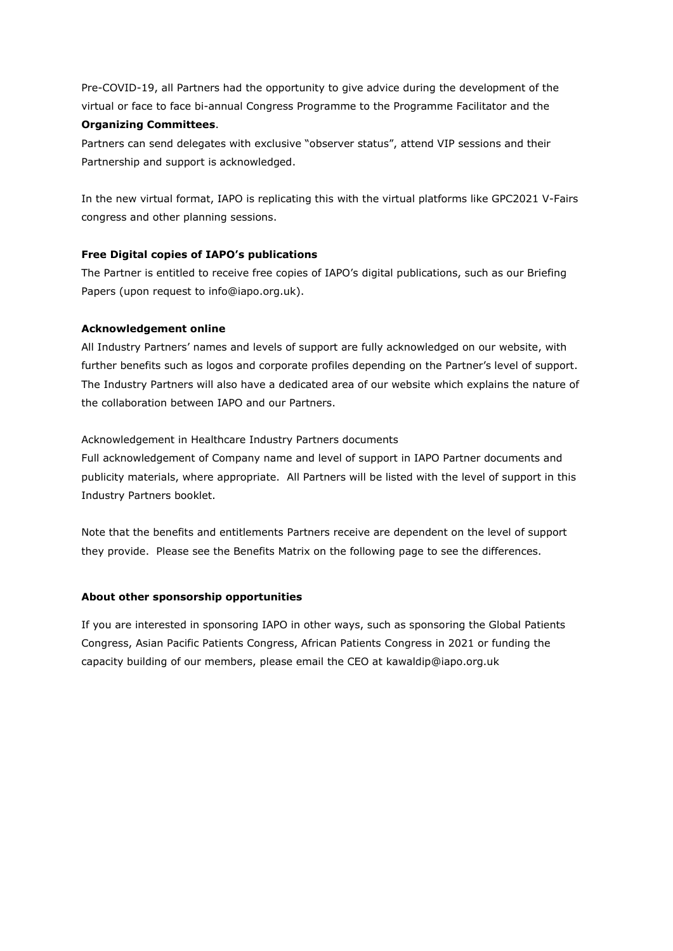Pre-COVID-19, all Partners had the opportunity to give advice during the development of the virtual or face to face bi-annual Congress Programme to the Programme Facilitator and the

### **Organizing Committees**.

Partners can send delegates with exclusive "observer status", attend VIP sessions and their Partnership and support is acknowledged.

In the new virtual format, IAPO is replicating this with the virtual platforms like GPC2021 V-Fairs congress and other planning sessions.

## **Free Digital copies of IAPO's publications**

The Partner is entitled to receive free copies of IAPO's digital publications, such as our Briefing Papers (upon request to info@iapo.org.uk).

## **Acknowledgement online**

All Industry Partners' names and levels of support are fully acknowledged on our website, with further benefits such as logos and corporate profiles depending on the Partner's level of support. The Industry Partners will also have a dedicated area of our website which explains the nature of the collaboration between IAPO and our Partners.

## Acknowledgement in Healthcare Industry Partners documents

Full acknowledgement of Company name and level of support in IAPO Partner documents and publicity materials, where appropriate. All Partners will be listed with the level of support in this Industry Partners booklet.

Note that the benefits and entitlements Partners receive are dependent on the level of support they provide. Please see the Benefits Matrix on the following page to see the differences.

# **About other sponsorship opportunities**

If you are interested in sponsoring IAPO in other ways, such as sponsoring the Global Patients Congress, Asian Pacific Patients Congress, African Patients Congress in 2021 or funding the capacity building of our members, please email the CEO at kawaldip@iapo.org.uk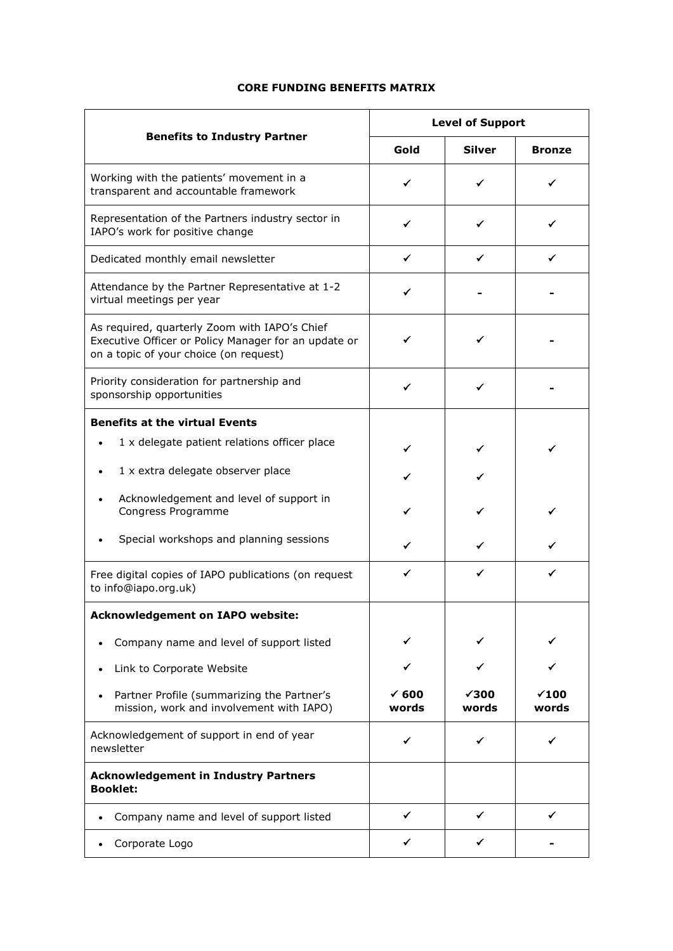# **CORE FUNDING BENEFITS MATRIX**

| <b>Benefits to Industry Partner</b>                                                                                                             | <b>Level of Support</b>   |                       |                       |
|-------------------------------------------------------------------------------------------------------------------------------------------------|---------------------------|-----------------------|-----------------------|
|                                                                                                                                                 | Gold                      | <b>Silver</b>         | <b>Bronze</b>         |
| Working with the patients' movement in a<br>transparent and accountable framework                                                               | ✓                         | ✓                     | ✓                     |
| Representation of the Partners industry sector in<br>IAPO's work for positive change                                                            | ✓                         | ✔                     | ✓                     |
| Dedicated monthly email newsletter                                                                                                              | ✓                         | ✔                     | ✓                     |
| Attendance by the Partner Representative at 1-2<br>virtual meetings per year                                                                    |                           |                       |                       |
| As required, quarterly Zoom with IAPO's Chief<br>Executive Officer or Policy Manager for an update or<br>on a topic of your choice (on request) |                           |                       |                       |
| Priority consideration for partnership and<br>sponsorship opportunities                                                                         |                           | ✔                     |                       |
| <b>Benefits at the virtual Events</b>                                                                                                           |                           |                       |                       |
| 1 x delegate patient relations officer place                                                                                                    |                           |                       |                       |
| 1 x extra delegate observer place                                                                                                               |                           |                       |                       |
| Acknowledgement and level of support in<br>Congress Programme                                                                                   |                           |                       | ✓                     |
| Special workshops and planning sessions                                                                                                         | ✓                         | ✔                     |                       |
| Free digital copies of IAPO publications (on request<br>to info@iapo.org.uk)                                                                    | ✓                         | ✓                     | ✓                     |
| <b>Acknowledgement on IAPO website:</b>                                                                                                         |                           |                       |                       |
| Company name and level of support listed<br>$\bullet$                                                                                           |                           |                       |                       |
| Link to Corporate Website                                                                                                                       |                           |                       |                       |
| Partner Profile (summarizing the Partner's<br>mission, work and involvement with IAPO)                                                          | $\checkmark$ 600<br>words | $\sqrt{300}$<br>words | $\times$ 100<br>words |
| Acknowledgement of support in end of year<br>newsletter                                                                                         | ✓                         | ✓                     | ✓                     |
| <b>Acknowledgement in Industry Partners</b><br><b>Booklet:</b>                                                                                  |                           |                       |                       |
| Company name and level of support listed<br>$\bullet$                                                                                           | ✓                         | ✓                     |                       |
| Corporate Logo<br>$\bullet$                                                                                                                     |                           | ✔                     |                       |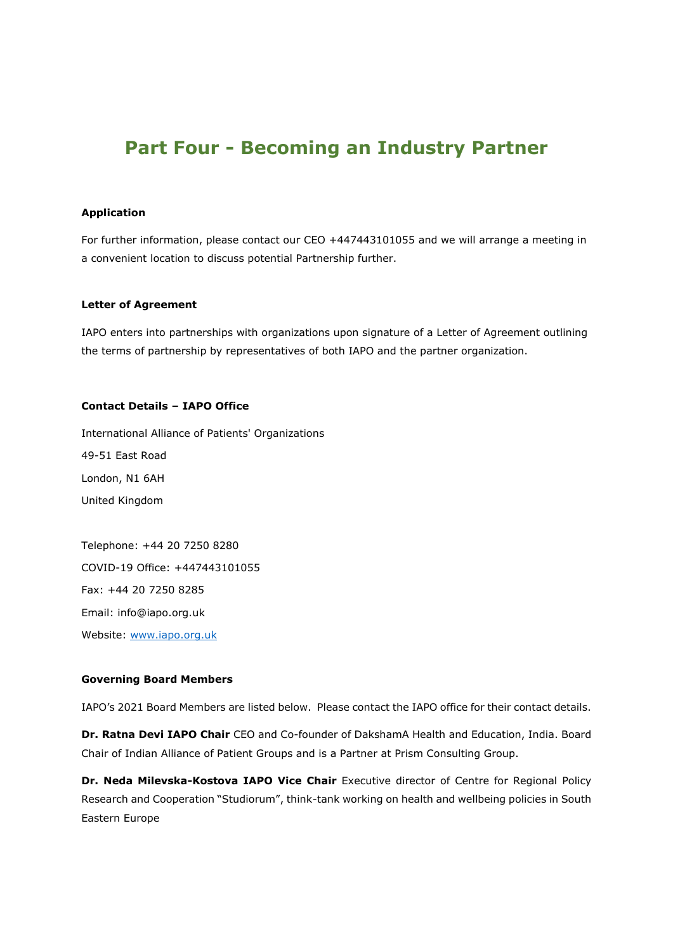# **Part Four - Becoming an Industry Partner**

#### **Application**

For further information, please contact our CEO +447443101055 and we will arrange a meeting in a convenient location to discuss potential Partnership further.

#### **Letter of Agreement**

IAPO enters into partnerships with organizations upon signature of a Letter of Agreement outlining the terms of partnership by representatives of both IAPO and the partner organization.

#### **Contact Details – IAPO Office**

International Alliance of Patients' Organizations 49-51 East Road London, N1 6AH United Kingdom

Telephone: +44 20 7250 8280 COVID-19 Office: +447443101055 Fax: +44 20 7250 8285 Email: info@iapo.org.uk Website: [www.iapo.org.uk](http://www.iapo.org.uk/)

#### **Governing Board Members**

IAPO's 2021 Board Members are listed below. Please contact the IAPO office for their contact details.

**Dr. Ratna Devi IAPO Chair** CEO and Co-founder of DakshamA Health and Education, India. Board Chair of Indian Alliance of Patient Groups and is a Partner at Prism Consulting Group.

**Dr. Neda Milevska-Kostova IAPO Vice Chair** Executive director of Centre for Regional Policy Research and Cooperation "Studiorum", think-tank working on health and wellbeing policies in South Eastern Europe